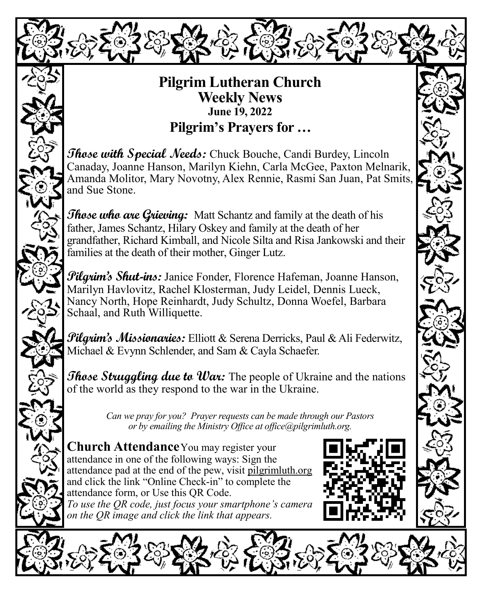

## **Pilgrim Lutheran Church Weekly News June 19, 2022 Pilgrim's Prayers for …**

**Those with Special Needs:** Chuck Bouche, Candi Burdey, Lincoln Canaday, Joanne Hanson, Marilyn Kiehn, Carla McGee, Paxton Melnarik, Amanda Molitor, Mary Novotny, Alex Rennie, Rasmi San Juan, Pat Smits, and Sue Stone.

**Those who are Grieving:** Matt Schantz and family at the death of his father, James Schantz, Hilary Oskey and family at the death of her grandfather, Richard Kimball, and Nicole Silta and Risa Jankowski and their families at the death of their mother, Ginger Lutz.

**Pilgrim's Shut-ins:** Janice Fonder, Florence Hafeman, Joanne Hanson, Marilyn Havlovitz, Rachel Klosterman, Judy Leidel, Dennis Lueck, Nancy North, Hope Reinhardt, Judy Schultz, Donna Woefel, Barbara Schaal, and Ruth Williquette.

**Pilgrim's Missionaries:** Elliott & Serena Derricks, Paul & Ali Federwitz, Michael & Evynn Schlender, and Sam & Cayla Schaefer.

*Those Struggling due to War:* The people of Ukraine and the nations of the world as they respond to the war in the Ukraine.

> *Can we pray for you? Prayer requests can be made through our Pastors or by emailing the Ministry Office at office@pilgrimluth.org.*

**Church Attendance**You may register your attendance in one of the following ways: Sign the attendance pad at the end of the pew, visit pilgrimluth.org and click the link "Online Check-in" to complete the attendance form, or Use this QR Code. *To use the QR code, just focus your smartphone's camera on the QR image and click the link that appears.*

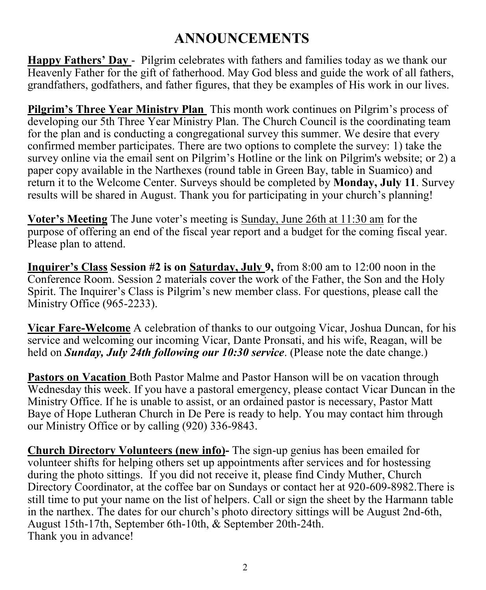## **ANNOUNCEMENTS**

**Happy Fathers' Day** - Pilgrim celebrates with fathers and families today as we thank our Heavenly Father for the gift of fatherhood. May God bless and guide the work of all fathers, grandfathers, godfathers, and father figures, that they be examples of His work in our lives.

**Pilgrim's Three Year Ministry Plan** This month work continues on Pilgrim's process of developing our 5th Three Year Ministry Plan. The Church Council is the coordinating team for the plan and is conducting a congregational survey this summer. We desire that every confirmed member participates. There are two options to complete the survey: 1) take the survey online via the email sent on Pilgrim's Hotline or the link on Pilgrim's website; or 2) a paper copy available in the Narthexes (round table in Green Bay, table in Suamico) and return it to the Welcome Center. Surveys should be completed by **Monday, July 11**. Survey results will be shared in August. Thank you for participating in your church's planning!

**Voter's Meeting** The June voter's meeting is Sunday, June 26th at 11:30 am for the purpose of offering an end of the fiscal year report and a budget for the coming fiscal year. Please plan to attend.

**Inquirer's Class Session #2 is on Saturday, July 9,** from 8:00 am to 12:00 noon in the Conference Room. Session 2 materials cover the work of the Father, the Son and the Holy Spirit. The Inquirer's Class is Pilgrim's new member class. For questions, please call the Ministry Office (965-2233).

**Vicar Fare-Welcome** A celebration of thanks to our outgoing Vicar, Joshua Duncan, for his service and welcoming our incoming Vicar, Dante Pronsati, and his wife, Reagan, will be held on *Sunday, July 24th following our 10:30 service*. (Please note the date change.)

**Pastors on Vacation** Both Pastor Malme and Pastor Hanson will be on vacation through Wednesday this week. If you have a pastoral emergency, please contact Vicar Duncan in the Ministry Office. If he is unable to assist, or an ordained pastor is necessary, Pastor Matt Baye of Hope Lutheran Church in De Pere is ready to help. You may contact him through our Ministry Office or by calling (920) 336-9843.

**Church Directory Volunteers (new info)-** The sign-up genius has been emailed for volunteer shifts for helping others set up appointments after services and for hostessing during the photo sittings. If you did not receive it, please find Cindy Muther, Church Directory Coordinator, at the coffee bar on Sundays or contact her at 920-609-8982.There is still time to put your name on the list of helpers. Call or sign the sheet by the Harmann table in the narthex. The dates for our church's photo directory sittings will be August 2nd-6th, August 15th-17th, September 6th-10th, & September 20th-24th. Thank you in advance!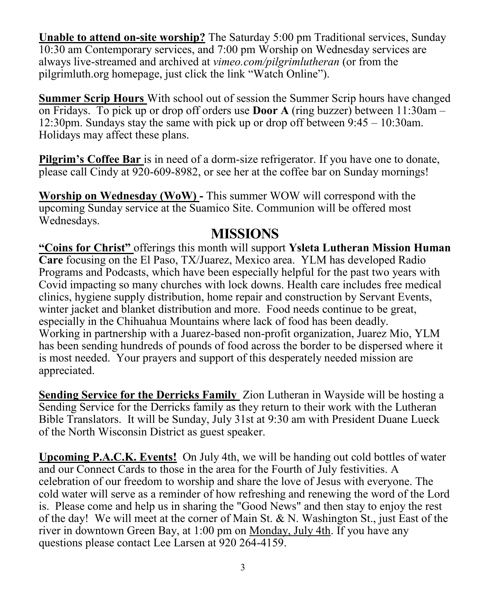**Unable to attend on-site worship?** The Saturday 5:00 pm Traditional services, Sunday 10:30 am Contemporary services, and 7:00 pm Worship on Wednesday services are always live-streamed and archived at *vimeo.com/pilgrimlutheran* (or from the pilgrimluth.org homepage, just click the link "Watch Online").

**Summer Scrip Hours** With school out of session the Summer Scrip hours have changed on Fridays. To pick up or drop off orders use **Door A** (ring buzzer) between 11:30am – 12:30pm. Sundays stay the same with pick up or drop off between 9:45 – 10:30am. Holidays may affect these plans.

**Pilgrim's Coffee Bar** is in need of a dorm-size refrigerator. If you have one to donate, please call Cindy at 920-609-8982, or see her at the coffee bar on Sunday mornings!

**Worship on Wednesday (WoW) -** This summer WOW will correspond with the upcoming Sunday service at the Suamico Site. Communion will be offered most Wednesdays.

### **MISSIONS**

**"Coins for Christ"** offerings this month will support **Ysleta Lutheran Mission Human Care** focusing on the El Paso, TX/Juarez, Mexico area. YLM has developed Radio Programs and Podcasts, which have been especially helpful for the past two years with Covid impacting so many churches with lock downs. Health care includes free medical clinics, hygiene supply distribution, home repair and construction by Servant Events, winter jacket and blanket distribution and more. Food needs continue to be great, especially in the Chihuahua Mountains where lack of food has been deadly. Working in partnership with a Juarez-based non-profit organization, Juarez Mio, YLM has been sending hundreds of pounds of food across the border to be dispersed where it is most needed. Your prayers and support of this desperately needed mission are appreciated.

**Sending Service for the Derricks Family** Zion Lutheran in Wayside will be hosting a Sending Service for the Derricks family as they return to their work with the Lutheran Bible Translators. It will be Sunday, July 31st at 9:30 am with President Duane Lueck of the North Wisconsin District as guest speaker.

**Upcoming P.A.C.K. Events!** On July 4th, we will be handing out cold bottles of water and our Connect Cards to those in the area for the Fourth of July festivities. A celebration of our freedom to worship and share the love of Jesus with everyone. The cold water will serve as a reminder of how refreshing and renewing the word of the Lord is. Please come and help us in sharing the "Good News" and then stay to enjoy the rest of the day! We will meet at the corner of Main St. & N. Washington St., just East of the river in downtown Green Bay, at 1:00 pm on Monday, July 4th. If you have any questions please contact Lee Larsen at 920 264-4159.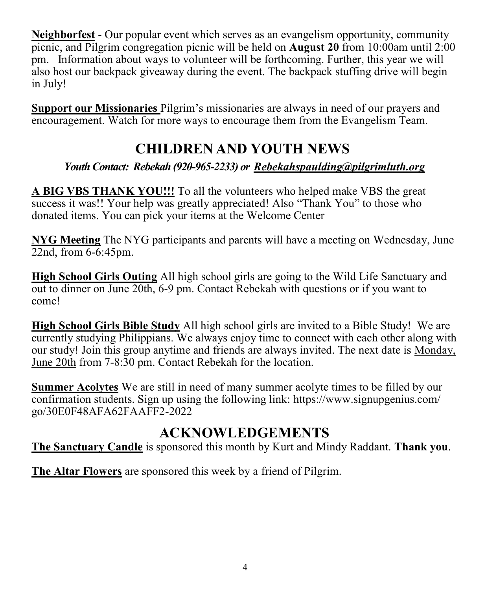**Neighborfest** - Our popular event which serves as an evangelism opportunity, community picnic, and Pilgrim congregation picnic will be held on **August 20** from 10:00am until 2:00 pm. Information about ways to volunteer will be forthcoming. Further, this year we will also host our backpack giveaway during the event. The backpack stuffing drive will begin in July!

**Support our Missionaries** Pilgrim's missionaries are always in need of our prayers and encouragement. Watch for more ways to encourage them from the Evangelism Team.

## **CHILDREN AND YOUTH NEWS**

*Youth Contact: Rebekah (920-965-2233) or [Rebekahspaulding@pilgrimluth.org](mailto:Rebekahschumacher@pilgrimluth.org)*

**A BIG VBS THANK YOU!!!** To all the volunteers who helped make VBS the great success it was!! Your help was greatly appreciated! Also "Thank You" to those who donated items. You can pick your items at the Welcome Center

**NYG Meeting** The NYG participants and parents will have a meeting on Wednesday, June 22nd, from 6-6:45pm.

**High School Girls Outing** All high school girls are going to the Wild Life Sanctuary and out to dinner on June 20th, 6-9 pm. Contact Rebekah with questions or if you want to come!

**High School Girls Bible Study** All high school girls are invited to a Bible Study! We are currently studying Philippians. We always enjoy time to connect with each other along with our study! Join this group anytime and friends are always invited. The next date is Monday, June 20th from 7-8:30 pm. Contact Rebekah for the location.

**Summer Acolytes** We are still in need of many summer acolyte times to be filled by our confirmation students. Sign up using the following link: [https://www.signupgenius.com/](https://www.signupgenius.com/go/30E0F48AFA62FAAFF2-2022) [go/30E0F48AFA62FAAFF2](https://www.signupgenius.com/go/30E0F48AFA62FAAFF2-2022)-2022

## **ACKNOWLEDGEMENTS**

**The Sanctuary Candle** is sponsored this month by Kurt and Mindy Raddant. **Thank you**.

**The Altar Flowers** are sponsored this week by a friend of Pilgrim.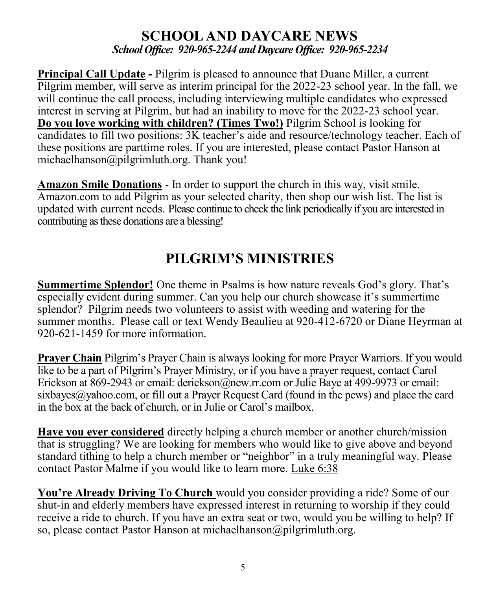#### **SCHOOL AND DAYCARE NEWS** *School Office: 920-965-2244 and Daycare Office: 920-965-2234*

**Principal Call Update -** Pilgrim is pleased to announce that Duane Miller, a current Pilgrim member, will serve as interim principal for the 2022-23 school year. In the fall, we will continue the call process, including interviewing multiple candidates who expressed interest in serving at Pilgrim, but had an inability to move for the 2022-23 school year. **Do you love working with children? (Times Two!)** Pilgrim School is looking for candidates to fill two positions: 3K teacher's aide and resource/technology teacher. Each of these positions are parttime roles. If you are interested, please contact Pastor Hanson at michaelhanson@pilgrimluth.org. Thank you!

**Amazon Smile Donations** - In order to support the church in this way, visit smile. Amazon.com to add Pilgrim as your selected charity, then shop our wish list. The list is updated with current needs. Please continue to check the link periodically if you are interested in contributing as these donations are a blessing!

## **PILGRIM'S MINISTRIES**

**Summertime Splendor!** One theme in Psalms is how nature reveals God's glory. That's especially evident during summer. Can you help our church showcase it's summertime splendor? Pilgrim needs two volunteers to assist with weeding and watering for the summer months. Please call or text Wendy Beaulieu at 920-412-6720 or Diane Heyrman at 920-621-1459 for more information.

**Prayer Chain** Pilgrim's Prayer Chain is always looking for more Prayer Warriors. If you would like to be a part of Pilgrim's Prayer Ministry, or if you have a prayer request, contact Carol Erickson at 869-2943 or email: derickson@new.rr.com or Julie Baye at 499-9973 or email: sixbayes  $\omega$  values, or fill out a Prayer Request Card (found in the pews) and place the card in the box at the back of church, or in Julie or Carol's mailbox.

**Have you ever considered** directly helping a church member or another church/mission that is struggling? We are looking for members who would like to give above and beyond standard tithing to help a church member or "neighbor" in a truly meaningful way. Please contact Pastor Malme if you would like to learn more. Luke 6:38

**You're Already Driving To Church** would you consider providing a ride? Some of our shut-in and elderly members have expressed interest in returning to worship if they could receive a ride to church. If you have an extra seat or two, would you be willing to help? If so, please contact Pastor Hanson at michaelhanson@pilgrimluth.org.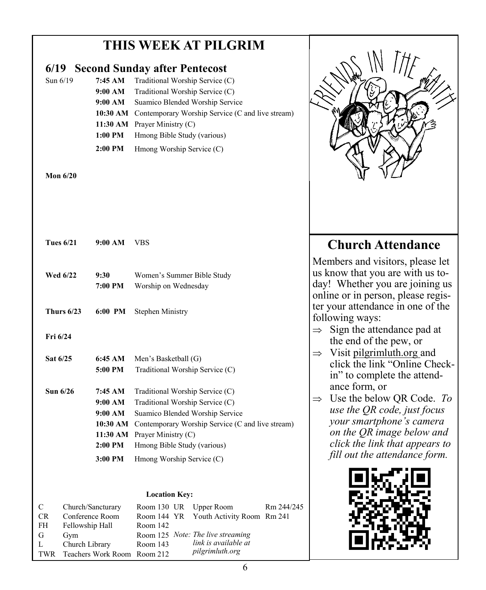## **THIS WEEK AT PILGRIM**

# **6/19 Second Sunday after Pentecost**  Sun  $6/19$  **7:45 AM** Traditional Worship Service (C) **9:00 AM** Traditional Worship Service (C) **9:00 AM** Suamico Blended Worship Service **10:30 AM** Contemporary Worship Service (C and live stream) **11:30 AM** Prayer Ministry (C) 1:00 PM Hmong Bible Study (various) 2:00 PM Hmong Worship Service (C) **Mon 6/20 Tues 6/21 9:00 AM** VBS **Wed 6/22 9:30** Women's Summer Bible Study **7:00 PM** Worship on Wednesday **Thurs 6/23 6:00 PM** Stephen Ministry **Fri 6/24 Sat 6/25 6:45 AM** Men's Basketball (G) **5:00 PM** Traditional Worship Service (C) **Sun 6/26 7:45 AM** Traditional Worship Service (C) **9:00 AM** Traditional Worship Service (C) **9:00 AM** Suamico Blended Worship Service **10:30 AM** Contemporary Worship Service (C and live stream) **11:30 AM** Prayer Ministry (C) 2:00 PM Hmong Bible Study (various) **3:00 PM** Hmong Worship Service (C) **Location Key:**





online or in person, please register your attendance in one of the following ways:

- $\Rightarrow$  Sign the attendance pad at the end of the pew, or
- $\Rightarrow$  Visit pilgrimluth.org and click the link "Online Checkin" to complete the attendance form, or
- $\Rightarrow$  Use the below OR Code. *To use the QR code, just focus your smartphone's camera on the QR image below and click the link that appears to fill out the attendance form.*

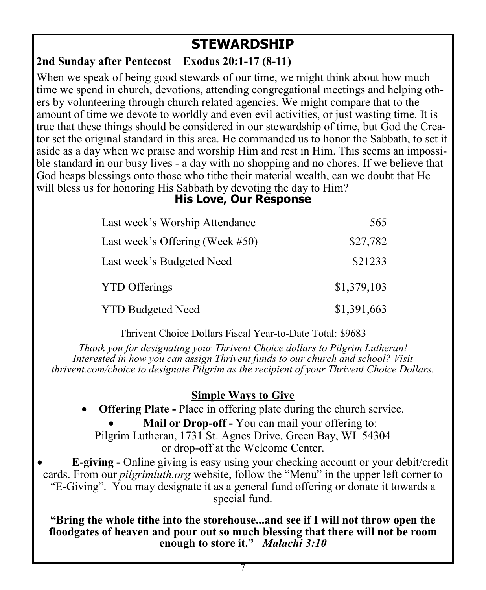## **STEWARDSHIP**

#### **2nd Sunday after Pentecost Exodus 20:1-17 (8-11)**

When we speak of being good stewards of our time, we might think about how much time we spend in church, devotions, attending congregational meetings and helping others by volunteering through church related agencies. We might compare that to the amount of time we devote to worldly and even evil activities, or just wasting time. It is true that these things should be considered in our stewardship of time, but God the Creator set the original standard in this area. He commanded us to honor the Sabbath, to set it aside as a day when we praise and worship Him and rest in Him. This seems an impossible standard in our busy lives - a day with no shopping and no chores. If we believe that God heaps blessings onto those who tithe their material wealth, can we doubt that He will bless us for honoring His Sabbath by devoting the day to Him?

#### **His Love, Our Response**

| Last week's Worship Attendance     | 565         |
|------------------------------------|-------------|
| Last week's Offering (Week $#50$ ) | \$27,782    |
| Last week's Budgeted Need          | \$21233     |
| <b>YTD</b> Offerings               | \$1,379,103 |
| <b>YTD Budgeted Need</b>           | \$1,391,663 |

Thrivent Choice Dollars Fiscal Year-to-Date Total: \$9683

*Thank you for designating your Thrivent Choice dollars to Pilgrim Lutheran! Interested in how you can assign Thrivent funds to our church and school? Visit thrivent.com/choice to designate Pilgrim as the recipient of your Thrivent Choice Dollars.* 

#### **Simple Ways to Give**

- **Offering Plate -** Place in offering plate during the church service.
	- **Mail or Drop-off -** You can mail your offering to:

Pilgrim Lutheran, 1731 St. Agnes Drive, Green Bay, WI 54304 or drop-off at the Welcome Center.

• **E-giving -** Online giving is easy using your checking account or your debit/credit cards. From our *pilgrimluth.org* website, follow the "Menu" in the upper left corner to "E-Giving". You may designate it as a general fund offering or donate it towards a special fund.

**"Bring the whole tithe into the storehouse...and see if I will not throw open the floodgates of heaven and pour out so much blessing that there will not be room enough to store it."** *Malachi 3:10*

7